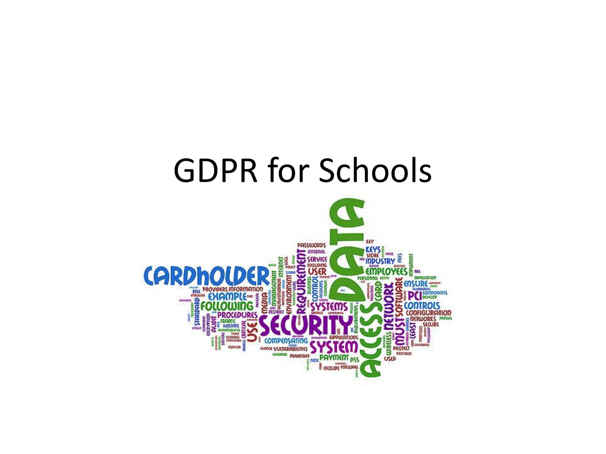### GDPR for Schools

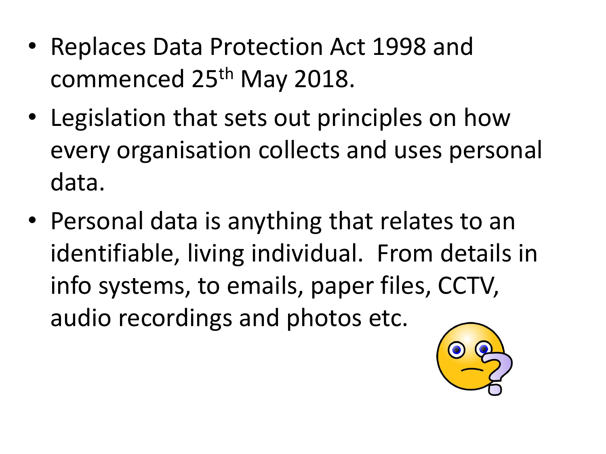- Replaces Data Protection Act 1998 and commenced 25<sup>th</sup> May 2018.
- Legislation that sets out principles on how every organisation collects and uses personal data.
- Personal data is anything that relates to an identifiable, living individual. From details in info systems, to emails, paper files, CCTV, audio recordings and photos etc.

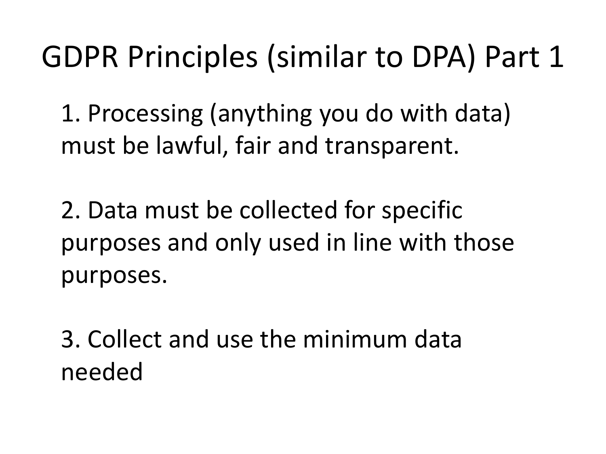### GDPR Principles (similar to DPA) Part 1

1. Processing (anything you do with data) must be lawful, fair and transparent.

2. Data must be collected for specific purposes and only used in line with those purposes.

3. Collect and use the minimum data needed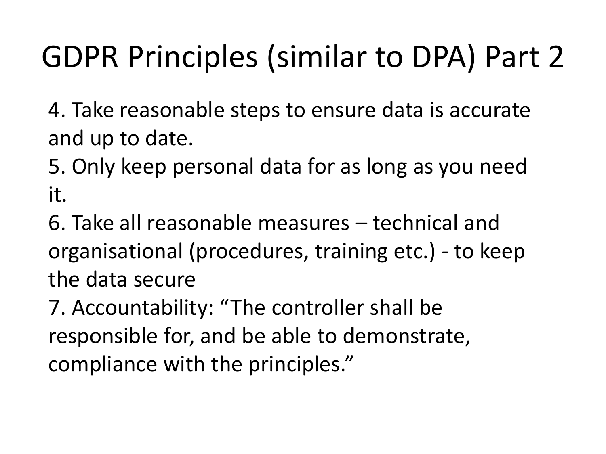## GDPR Principles (similar to DPA) Part 2

4. Take reasonable steps to ensure data is accurate and up to date.

5. Only keep personal data for as long as you need it.

6. Take all reasonable measures – technical and organisational (procedures, training etc.) - to keep the data secure

7. Accountability: "The controller shall be responsible for, and be able to demonstrate, compliance with the principles."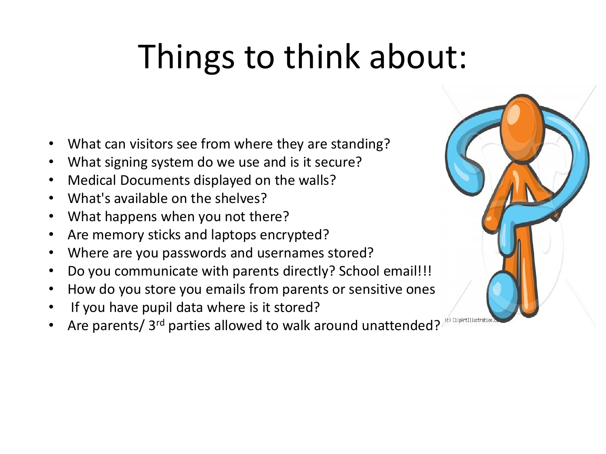# Things to think about:

- What can visitors see from where they are standing?
- What signing system do we use and is it secure?
- Medical Documents displayed on the walls?
- What's available on the shelves?
- What happens when you not there?
- Are memory sticks and laptops encrypted?
- Where are you passwords and usernames stored?
- Do you communicate with parents directly? School email!!!
- How do you store you emails from parents or sensitive ones
- If you have pupil data where is it stored?
- Are parents/ 3rd parties allowed to walk around unattended?

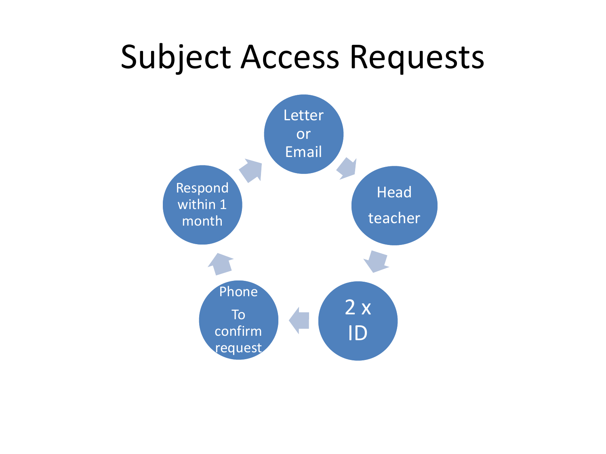### Subject Access Requests